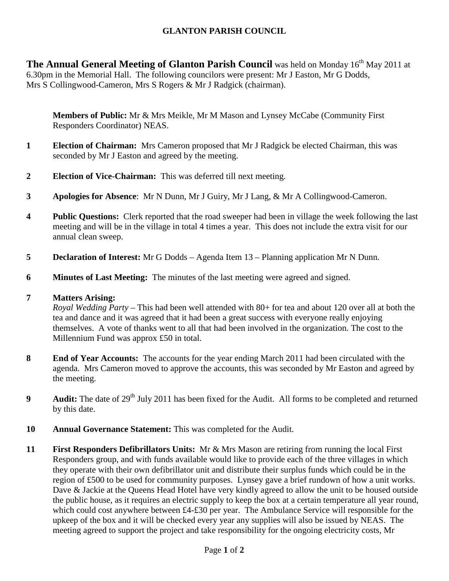# **GLANTON PARISH COUNCIL**

**The Annual General Meeting of Glanton Parish Council** was held on Monday 16<sup>th</sup> May 2011 at 6.30pm in the Memorial Hall. The following councilors were present: Mr J Easton, Mr G Dodds, Mrs S Collingwood-Cameron, Mrs S Rogers & Mr J Radgick (chairman).

**Members of Public:** Mr & Mrs Meikle, Mr M Mason and Lynsey McCabe (Community First Responders Coordinator) NEAS.

- **1 Election of Chairman:** Mrs Cameron proposed that Mr J Radgick be elected Chairman, this was seconded by Mr J Easton and agreed by the meeting.
- **2 Election of Vice-Chairman:** This was deferred till next meeting.
- **3 Apologies for Absence**: Mr N Dunn, Mr J Guiry, Mr J Lang, & Mr A Collingwood-Cameron.
- **4** Public Questions: Clerk reported that the road sweeper had been in village the week following the last meeting and will be in the village in total 4 times a year. This does not include the extra visit for our annual clean sweep.
- **5 Declaration of Interest:** Mr G Dodds Agenda Item 13 Planning application Mr N Dunn.
- **6 Minutes of Last Meeting:** The minutes of the last meeting were agreed and signed.

# **7 Matters Arising:**

*Royal Wedding Party –* This had been well attended with 80+ for tea and about 120 over all at both the tea and dance and it was agreed that it had been a great success with everyone really enjoying themselves. A vote of thanks went to all that had been involved in the organization. The cost to the Millennium Fund was approx £50 in total.

- **8** End of Year Accounts: The accounts for the year ending March 2011 had been circulated with the agenda. Mrs Cameron moved to approve the accounts, this was seconded by Mr Easton and agreed by the meeting.
- **9** Audit: The date of 29<sup>th</sup> July 2011 has been fixed for the Audit. All forms to be completed and returned by this date.
- **10 Annual Governance Statement:** This was completed for the Audit.
- **11 First Responders Defibrillators Units:** Mr & Mrs Mason are retiring from running the local First Responders group, and with funds available would like to provide each of the three villages in which they operate with their own defibrillator unit and distribute their surplus funds which could be in the region of £500 to be used for community purposes. Lynsey gave a brief rundown of how a unit works. Dave & Jackie at the Queens Head Hotel have very kindly agreed to allow the unit to be housed outside the public house, as it requires an electric supply to keep the box at a certain temperature all year round, which could cost anywhere between £4-£30 per year. The Ambulance Service will responsible for the upkeep of the box and it will be checked every year any supplies will also be issued by NEAS. The meeting agreed to support the project and take responsibility for the ongoing electricity costs, Mr